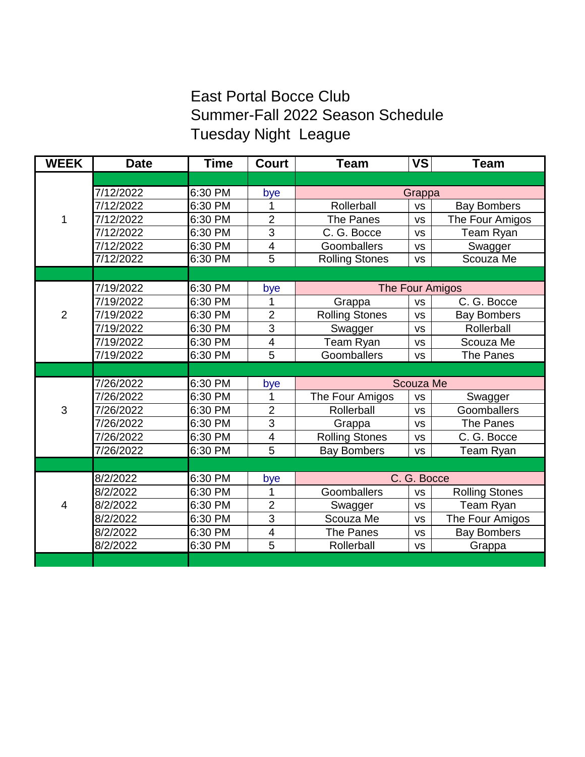## East Portal Bocce Club Summer-Fall 2022 Season Schedule Tuesday Night League

| <b>WEEK</b>    | <b>Date</b> | <b>Time</b> | <b>Court</b>            | <b>Team</b>           | <b>VS</b> | <b>Team</b>           |
|----------------|-------------|-------------|-------------------------|-----------------------|-----------|-----------------------|
|                |             |             |                         |                       |           |                       |
| 1              | 7/12/2022   | 6:30 PM     | bye                     | Grappa                |           |                       |
|                | 7/12/2022   | 6:30 PM     | 1                       | Rollerball            | <b>VS</b> | <b>Bay Bombers</b>    |
|                | 7/12/2022   | 6:30 PM     | $\overline{2}$          | The Panes             | <b>VS</b> | The Four Amigos       |
|                | 7/12/2022   | 6:30 PM     | 3                       | C. G. Bocce           | <b>VS</b> | Team Ryan             |
|                | 7/12/2022   | 6:30 PM     | $\overline{4}$          | Goomballers           | <b>VS</b> | Swagger               |
|                | 7/12/2022   | $6:30$ PM   | $\overline{5}$          | <b>Rolling Stones</b> | <b>VS</b> | Scouza Me             |
|                |             |             |                         |                       |           |                       |
|                | 7/19/2022   | 6:30 PM     | bye                     | The Four Amigos       |           |                       |
|                | 7/19/2022   | 6:30 PM     | 1                       | Grappa                | <b>VS</b> | C. G. Bocce           |
| $\overline{2}$ | 7/19/2022   | 6:30 PM     | $\overline{2}$          | <b>Rolling Stones</b> | <b>VS</b> | <b>Bay Bombers</b>    |
|                | 7/19/2022   | 6:30 PM     | 3                       | Swagger               | <b>VS</b> | Rollerball            |
|                | 7/19/2022   | 6:30 PM     | $\overline{\mathbf{4}}$ | Team Ryan             | <b>VS</b> | Scouza Me             |
|                | 7/19/2022   | 6:30 PM     | 5                       | Goomballers           | <b>VS</b> | The Panes             |
|                |             |             |                         |                       |           |                       |
|                | 7/26/2022   | 6:30 PM     | bye                     | Scouza Me             |           |                       |
|                | 7/26/2022   | 6:30 PM     | 1                       | The Four Amigos       | <b>VS</b> | Swagger               |
| 3              | 7/26/2022   | 6:30 PM     | $\overline{2}$          | Rollerball            | <b>VS</b> | Goomballers           |
|                | 7/26/2022   | 6:30 PM     | 3                       | Grappa                | <b>VS</b> | <b>The Panes</b>      |
|                | 7/26/2022   | 6:30 PM     | $\overline{\mathbf{4}}$ | <b>Rolling Stones</b> | <b>VS</b> | C. G. Bocce           |
|                | 7/26/2022   | 6:30 PM     | 5                       | <b>Bay Bombers</b>    | <b>VS</b> | Team Ryan             |
|                |             |             |                         |                       |           |                       |
|                | 8/2/2022    | 6:30 PM     | bye                     | C. G. Bocce           |           |                       |
| 4              | 8/2/2022    | 6:30 PM     | 1                       | Goomballers           | <b>VS</b> | <b>Rolling Stones</b> |
|                | 8/2/2022    | 6:30 PM     | $\overline{2}$          | Swagger               | <b>VS</b> | Team Ryan             |
|                | 8/2/2022    | 6:30 PM     | 3                       | Scouza Me             | <b>VS</b> | The Four Amigos       |
|                | 8/2/2022    | 6:30 PM     | $\overline{\mathbf{4}}$ | <b>The Panes</b>      | <b>VS</b> | <b>Bay Bombers</b>    |
|                | 8/2/2022    | 6:30 PM     | 5                       | Rollerball            | <b>VS</b> | Grappa                |
|                |             |             |                         |                       |           |                       |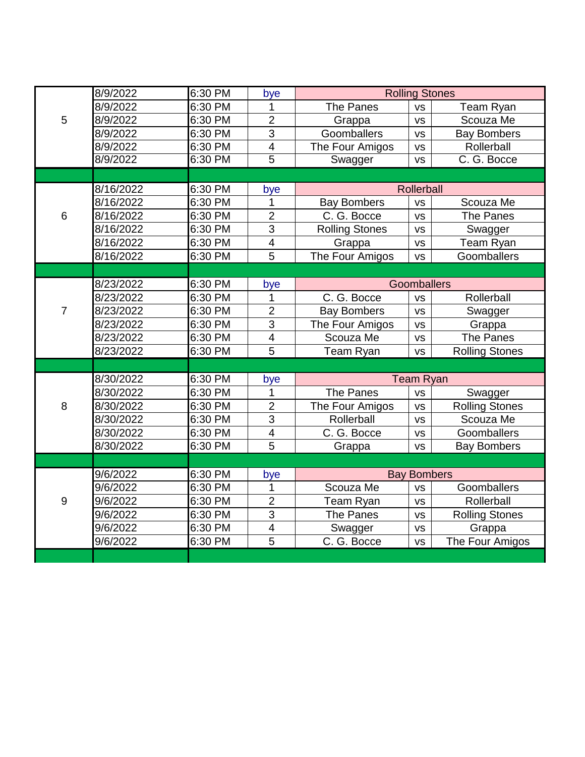|                | 8/9/2022  | 6:30 PM | bye                     | <b>Rolling Stones</b> |           |                       |
|----------------|-----------|---------|-------------------------|-----------------------|-----------|-----------------------|
| 5              | 8/9/2022  | 6:30 PM | 1                       | The Panes             | <b>VS</b> | Team Ryan             |
|                | 8/9/2022  | 6:30 PM | $\overline{2}$          | Grappa                | <b>VS</b> | Scouza Me             |
|                | 8/9/2022  | 6:30 PM | 3                       | Goomballers           | <b>VS</b> | <b>Bay Bombers</b>    |
|                | 8/9/2022  | 6:30 PM | $\overline{\mathbf{4}}$ | The Four Amigos       | <b>VS</b> | Rollerball            |
|                | 8/9/2022  | 6:30 PM | $\overline{5}$          | Swagger               | <b>VS</b> | C. G. Bocce           |
|                |           |         |                         |                       |           |                       |
| 6              | 8/16/2022 | 6:30 PM | bye                     | Rollerball            |           |                       |
|                | 8/16/2022 | 6:30 PM | 1                       | <b>Bay Bombers</b>    | <b>VS</b> | Scouza Me             |
|                | 8/16/2022 | 6:30 PM | $\overline{2}$          | C. G. Bocce           | <b>VS</b> | <b>The Panes</b>      |
|                | 8/16/2022 | 6:30 PM | 3                       | <b>Rolling Stones</b> | <b>VS</b> | Swagger               |
|                | 8/16/2022 | 6:30 PM | $\overline{\mathbf{4}}$ | Grappa                | <b>VS</b> | Team Ryan             |
|                | 8/16/2022 | 6:30 PM | 5                       | The Four Amigos       | <b>VS</b> | Goomballers           |
|                |           |         |                         |                       |           |                       |
| $\overline{7}$ | 8/23/2022 | 6:30 PM | bye                     | Goomballers           |           |                       |
|                | 8/23/2022 | 6:30 PM | 1                       | C. G. Bocce           | <b>VS</b> | Rollerball            |
|                | 8/23/2022 | 6:30 PM | $\overline{2}$          | <b>Bay Bombers</b>    | <b>VS</b> | Swagger               |
|                | 8/23/2022 | 6:30 PM | 3                       | The Four Amigos       | <b>VS</b> | Grappa                |
|                | 8/23/2022 | 6:30 PM | $\overline{\mathbf{4}}$ | Scouza Me             | <b>VS</b> | The Panes             |
|                | 8/23/2022 | 6:30 PM | 5                       | Team Ryan             | <b>VS</b> | <b>Rolling Stones</b> |
|                |           |         |                         |                       |           |                       |
|                | 8/30/2022 | 6:30 PM | bye                     | <b>Team Ryan</b>      |           |                       |
| 8              | 8/30/2022 | 6:30 PM | 1                       | The Panes             | <b>VS</b> | Swagger               |
|                | 8/30/2022 | 6:30 PM | $\overline{2}$          | The Four Amigos       | <b>VS</b> | <b>Rolling Stones</b> |
|                | 8/30/2022 | 6:30 PM | 3                       | Rollerball            | <b>VS</b> | Scouza Me             |
|                | 8/30/2022 | 6:30 PM | $\overline{\mathbf{4}}$ | C. G. Bocce           | <b>VS</b> | Goomballers           |
|                | 8/30/2022 | 6:30 PM | 5                       | Grappa                | <b>VS</b> | <b>Bay Bombers</b>    |
|                |           |         |                         |                       |           |                       |
| $9\,$          | 9/6/2022  | 6:30 PM | bye                     | <b>Bay Bombers</b>    |           |                       |
|                | 9/6/2022  | 6:30 PM | 1                       | Scouza Me             | <b>VS</b> | Goomballers           |
|                | 9/6/2022  | 6:30 PM | $\overline{2}$          | <b>Team Ryan</b>      | <b>VS</b> | Rollerball            |
|                | 9/6/2022  | 6:30 PM | 3                       | The Panes             | <b>VS</b> | <b>Rolling Stones</b> |
|                | 9/6/2022  | 6:30 PM | $\overline{\mathbf{4}}$ | Swagger               | <b>VS</b> | Grappa                |
|                | 9/6/2022  | 6:30 PM | 5                       | C. G. Bocce           | <b>VS</b> | The Four Amigos       |
|                |           |         |                         |                       |           |                       |